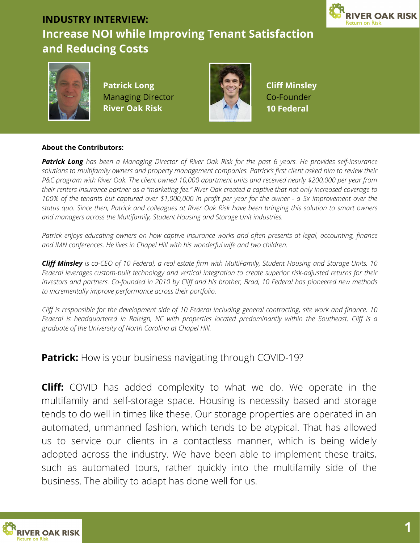

#### **INDUSTRY INTERVIEW: Increase NOI while Improving Tenant Satisfaction and Reducing Costs**



**Patrick Long** Managing Director **River Oak Risk**



**Cliff Minsley** Co-Founder **10 Federal**

#### **About the Contributors:**

Patrick Long has been a Managing Director of River Oak Risk for the past 6 years. He provides self-insurance solutions to multifamily owners and property management companies. Patrick's first client asked him to review their P&C program with River Oak. The client owned 10,000 apartment units and received nearly \$200,000 per vear from their renters insurance partner as a "marketing fee." River Oak created a captive that not only increased coverage to 100% of the tenants but captured over \$1,000,000 in profit per year for the owner - a 5x improvement over the status quo. Since then, Patrick and colleagues at River Oak Risk have been bringing this solution to smart owners *and managers across the Multifamily, Student Housing and Storage Unit industries.*

*Patrick enjoys educating owners on how captive insurance works and often presents at legal, accounting, finance and IMN conferences. He lives in Chapel Hill with his wonderful wife and two children.*

Cliff Minsley is co-CEO of 10 Federal, a real estate firm with MultiFamily, Student Housing and Storage Units. 10 *Federal leverages custom-built technology and vertical integration to create superior risk-adjusted returns for their* investors and partners. Co-founded in 2010 by Cliff and his brother, Brad, 10 Federal has pioneered new methods *to incrementally improve performance across their portfolio.*

Cliff is responsible for the development side of 10 Federal including general contracting, site work and finance. 10 *Federal is headquartered in Raleigh, NC with properties located predominantly within the Southeast. Cliff is a graduate of the University of North Carolina at Chapel Hill.*

**Patrick:** How is your business navigating through COVID-19?

**Cliff:** COVID has added complexity to what we do. We operate in the multifamily and self-storage space. Housing is necessity based and storage tends to do well in times like these. Our storage properties are operated in an automated, unmanned fashion, which tends to be atypical. That has allowed us to service our clients in a contactless manner, which is being widely adopted across the industry. We have been able to implement these traits, such as automated tours, rather quickly into the multifamily side of the business. The ability to adapt has done well for us.

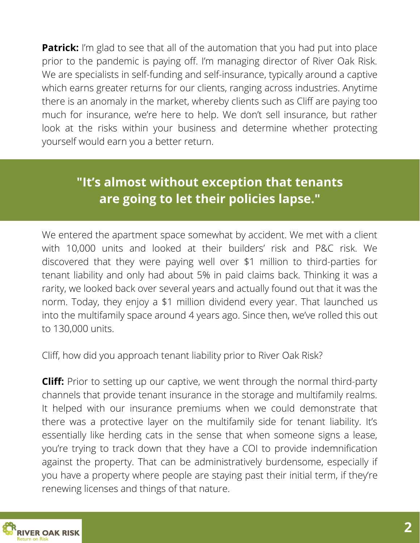**Patrick:** I'm glad to see that all of the automation that you had put into place prior to the pandemic is paying off. I'm managing director of River Oak Risk. We are specialists in self-funding and self-insurance, typically around a captive which earns greater returns for our clients, ranging across industries. Anytime there is an anomaly in the market, whereby clients such as Cliff are paying too much for insurance, we're here to help. We don't sell insurance, but rather look at the risks within your business and determine whether protecting yourself would earn you a better return.

# **"It's almost without exception that tenants are going to let their policies lapse."**

We entered the apartment space somewhat by accident. We met with a client with 10,000 units and looked at their builders' risk and P&C risk. We discovered that they were paying well over \$1 million to third-parties for tenant liability and only had about 5% in paid claims back. Thinking it was a rarity, we looked back over several years and actually found out that it was the norm. Today, they enjoy a \$1 million dividend every year. That launched us into the multifamily space around 4 years ago. Since then, we've rolled this out to 130,000 units.

Cliff, how did you approach tenant liability prior to River Oak Risk?

**Cliff:** Prior to setting up our captive, we went through the normal third-party channels that provide tenant insurance in the storage and multifamily realms. It helped with our insurance premiums when we could demonstrate that there was a protective layer on the multifamily side for tenant liability. It's essentially like herding cats in the sense that when someone signs a lease, you're trying to track down that they have a COI to provide indemnification against the property. That can be administratively burdensome, especially if you have a property where people are staying past their initial term, if they're renewing licenses and things of that nature.

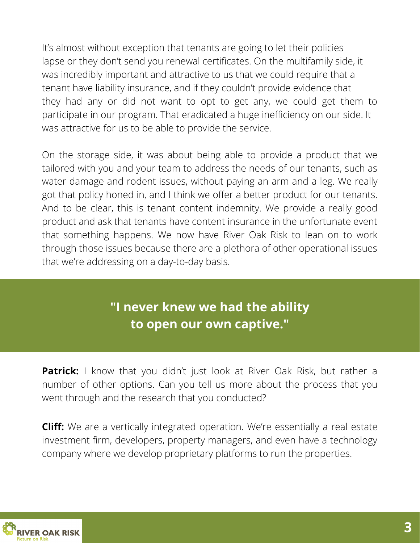It's almost without exception that tenants are going to let their policies lapse or they don't send you renewal certificates. On the multifamily side, it was incredibly important and attractive to us that we could require that a tenant have liability insurance, and if they couldn't provide evidence that they had any or did not want to opt to get any, we could get them to participate in our program. That eradicated a huge inefficiency on our side. It was attractive for us to be able to provide the service.

through those issues because there are a plethora of other operational issues On the storage side, it was about being able to provide a product that we tailored with you and your team to address the needs of our tenants, such as water damage and rodent issues, without paying an arm and a leg. We really got that policy honed in, and I think we offer a better product for our tenants. And to be clear, this is tenant content indemnity. We provide a really good product and ask that tenants have content insurance in the unfortunate event that something happens. We now have River Oak Risk to lean on to work that we're addressing on a day-to-day basis.

### **"I never knew we had the ability to open our own captive."**

**Patrick:** I know that you didn't just look at River Oak Risk, but rather a number of other options. Can you tell us more about the process that you went through and the research that you conducted?

**Cliff:** We are a vertically integrated operation. We're essentially a real estate investment firm, developers, property managers, and even have a technology company where we develop proprietary platforms to run the properties.

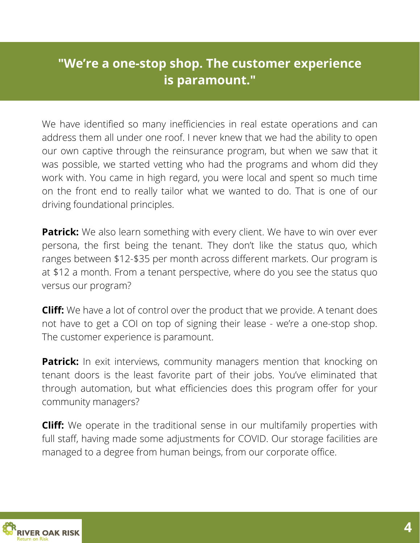#### **"We're a one-stop shop. The customer experience is paramount."**

We have identified so many inefficiencies in real estate operations and can address them all under one roof. I never knew that we had the ability to open our own captive through the reinsurance program, but when we saw that it was possible, we started vetting who had the programs and whom did they work with. You came in high regard, you were local and spent so much time on the front end to really tailor what we wanted to do. That is one of our driving foundational principles.

**Patrick:** We also learn something with every client. We have to win over ever persona, the first being the tenant. They don't like the status quo, which ranges between \$12-\$35 per month across different markets. Our program is at \$12 a month. From a tenant perspective, where do you see the status quo versus our program?

**Cliff:** We have a lot of control over the product that we provide. A tenant does not have to get a COI on top of signing their lease - we're a one-stop shop. The customer experience is paramount.

**Patrick:** In exit interviews, community managers mention that knocking on tenant doors is the least favorite part of their jobs. You've eliminated that through automation, but what efficiencies does this program offer for your community managers?

**Cliff:** We operate in the traditional sense in our multifamily properties with full staff, having made some adjustments for COVID. Our storage facilities are managed to a degree from human beings, from our corporate office.

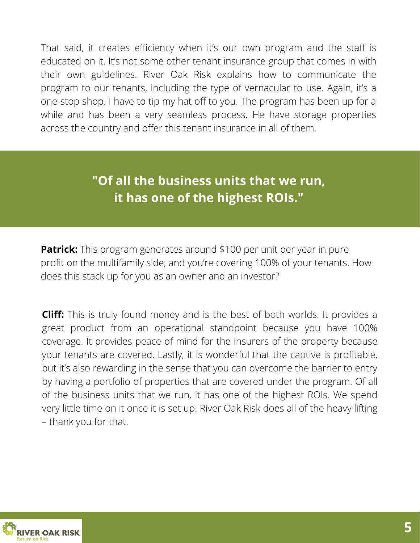an *INSK* Capian That said, it creates efficiency when it's our own program and the staff is educated on it. It's not some other tenant insurance group that comes in with their own guidelines. River Oak Risk explains how to communicate the program to our tenants, including the type of vernacular to use. Again, it's a one-stop shop. I have to tip my hat off to you. The program has been up for a while and has been a very seamless process. He have storage properties across the country and offer this tenant insurance in all of them.

# **"Of all the business units that we run, it has one of the highest ROIs."**

**Patrick:** This program generates around \$100 per unit per year in pure profit on the multifamily side, and you're covering 100% of your tenants. How does this stack up for you as an owner and an investor?

**Cliff:** This is truly found money and is the best of both worlds. It provides a great product from an operational standpoint because you have 100% coverage. It provides peace of mind for the insurers of the property because your tenants are covered. Lastly, it is wonderful that the captive is profitable, but it's also rewarding in the sense that you can overcome the barrier to entry by having a portfolio of properties that are covered under the program. Of all of the business units that we run, it has one of the highest ROIs. We spend very little time on it once it is set up. River Oak Risk does all of the heavy lifting – thank you for that.